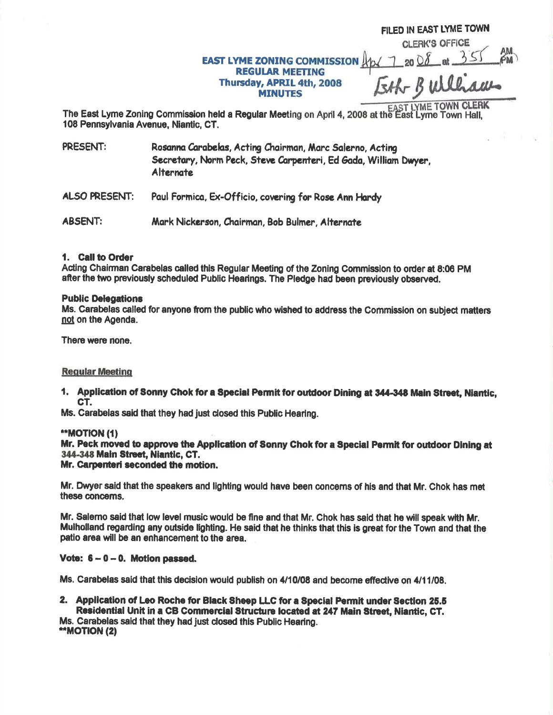# **EAST LYME ZONING COMMISSION REGULAR MEETING** Thursday, APRIL 4th, 2008 **MINUTES**

FILED IN EAST LYME TOWN **CLERK'S OFFICE** 

17 20 08 at 355

The East Lyme Zoning Commission held a Regular Meeting on April 4, 2008 at the East Lyme Town Hall, 108 Pennsylvania Avenue, Niantic, CT.

PRESENT: Rosanna Carabelas, Acting Chairman, Marc Salerno, Acting Secretary, Norm Peck, Steve Carpenteri, Ed Gada, William Dwyer, **Alternate** 

ALSO PRESENT: Paul Formica, Ex-Officio, covering for Rose Ann Hardy

**ABSENT:** Mark Nickerson, Chairman, Bob Bulmer, Alternate

## 1. Call to Order

Acting Chairman Carabelas called this Regular Meeting of the Zoning Commission to order at 8:06 PM after the two previously scheduled Public Hearings. The Pledge had been previously observed.

#### **Public Delegations**

Ms. Carabelas called for anyone from the public who wished to address the Commission on subject matters not on the Agenda.

There were none.

## **Regular Meeting**

1. Application of Sonny Chok for a Special Permit for outdoor Dining at 344-348 Main Street, Niantic, CT.

Ms. Carabelas said that they had just closed this Public Hearing.

#### **\*\*MOTION (1)**

Mr. Peck moved to approve the Application of Sonny Chok for a Special Permit for outdoor Dining at 344-348 Main Street, Niantic, CT.

## Mr. Carpenteri seconded the motion.

Mr. Dwyer said that the speakers and lighting would have been concerns of his and that Mr. Chok has met these concerns.

Mr. Salemo said that low level music would be fine and that Mr. Chok has said that he will speak with Mr. Mulholland regarding any outside lighting. He said that he thinks that this is great for the Town and that the patio area will be an enhancement to the area.

## Vote:  $6 - 0 - 0$ . Motion passed.

Ms. Carabelas said that this decision would publish on 4/10/08 and become effective on 4/11/08.

2. Application of Leo Roche for Black Sheep LLC for a Special Permit under Section 25.5 Residential Unit in a CB Commercial Structure located at 247 Main Street, Niantic, CT. Ms. Carabelas said that they had just closed this Public Hearing.

\*\*MOTION (2)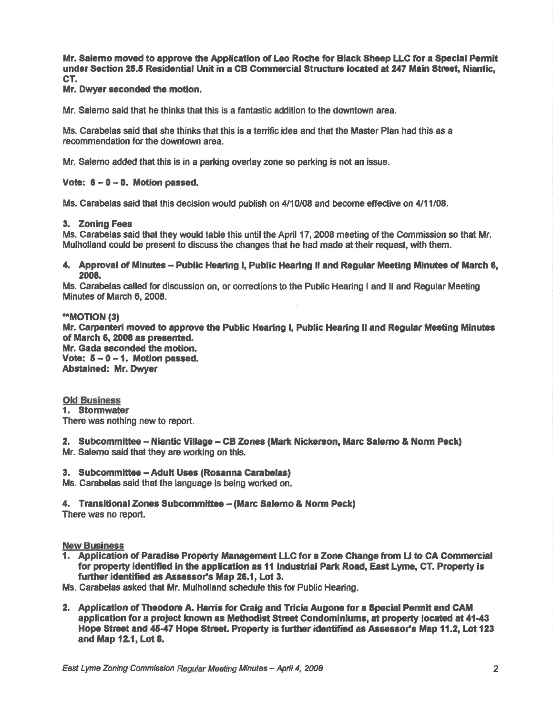Mr. Salemo moved to approve the Application of Leo Roche for Black Sheep LLC for a Special Permit under Section 25.5 Residential Unit in a CB Commercial Structure located at 247 Main Street, Niantic, CT.

Mr. Dwyer seconded the motion.

Mr. Salemo said that he thinks that this is a fantastic addition to the downtown area.

Ms. Carabelas said that she thinks that this is a terrific idea and that the Master Plan had this as a recommendation for the downtown area.

Mr. Salemo added that this is in a parking overlay zone so parking is not an issue.

#### Vote:  $6 - 0 - 0$ . Motion passed.

Ms. Carabelas said that this decision would publish on 4/10/08 and become effective on 4/11/08.

#### 3. Zoning Fees

Ms. Carabelas said that they would table this until the April 17, 2008 meeting of the Commission so that Mr. Mulholland could be present to discuss the changes that he had made at their request, with them.

4. Approval of Minutes - Public Hearing I, Public Hearing II and Regular Meeting Minutes of March 6, 2008.

Ms. Carabelas called for discussion on, or corrections to the Public Hearing I and II and Regular Meeting Minutes of March 6, 2008.

#### \*\*MOTION (3)

Mr. Carpenteri moved to approve the Public Hearing I, Public Hearing II and Regular Meeting Minutes of March 6, 2008 as presented. Mr. Gada seconded the motion. Vote:  $5-0-1$ . Motion passed. **Abstained: Mr. Dwyer** 

#### **Old Business**

1. Stormwater There was nothing new to report.

2. Subcommittee - Niantic Village - CB Zones (Mark Nickerson, Marc Salerno & Norm Peck) Mr. Salemo said that they are working on this.

3. Subcommittee - Adult Uses (Rosanna Carabelas)

Ms. Carabelas said that the language is being worked on.

4. Transitional Zones Subcommittee - (Marc Salemo & Norm Peck) There was no report.

#### **New Business**

1. Application of Paradise Property Management LLC for a Zone Change from LI to CA Commercial for property identified in the application as 11 Industrial Park Road, East Lyme, CT. Property is further identified as Assessor's Map 26.1, Lot 3.

Ms. Carabelas asked that Mr. Mulholland schedule this for Public Hearing.

2. Application of Theodore A. Harris for Craig and Tricia Augone for a Special Permit and CAM application for a project known as Methodist Street Condominiums, at property located at 41-43 Hope Street and 45-47 Hope Street. Property is further identified as Assessor's Map 11.2, Lot 123 and Map 12.1, Lot 8.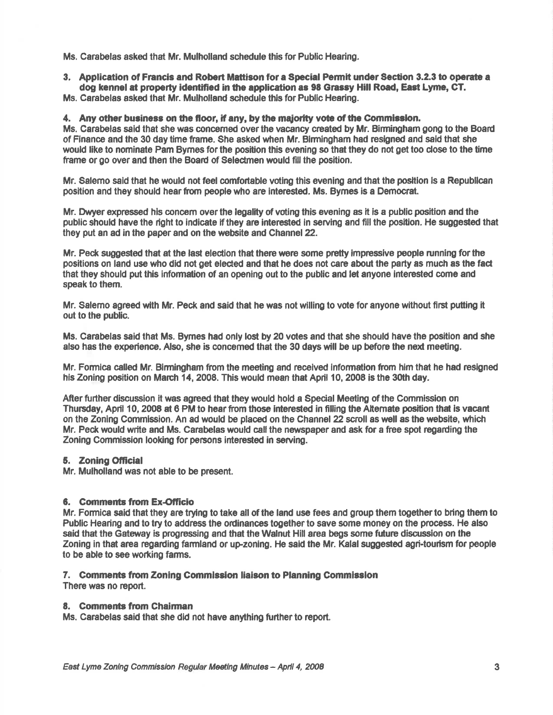Ms. Carabelas asked that Mr. Mulholland schedule this for Public Hearing.

3, Applicatlon of Francis ard Robert Mettison for a Special Permlt under Section 3.2.3 to oporete <sup>a</sup> dog kennel at property identified in the application as 98 Grassy Hill Road, East Lyme, CT.

Ms. Carabelas asked that Mr. Mulholland schedule this for Public Hearing.

4. Any other business on the floor, if any, by the majority vote of the Commission.

Ms. Carabelas said that she was concerned over the vacancy created by Mr. Birmingham gong to the Board of Finance and the 30 day time frame. She asked when Mr. Blrmingham had resigned and said thet she would like to nominde Pam Bymes forthe position this evening so that they do not get too dose to the time frame or go over and then the Board of Selectmen would fill the position.

Mr. Salemo said that he would not feel comfortable voting this evening and that the position is a Republican position and they should hear from people who are interested. Ms. Bymes is a Democrat.

Mr. Dwyer expressed his concem over the legality of voting this evening as it is a public position and the public should have the right to indicate if they are interested in serving and fill the position. He suggested that they put an ad in the paper and on the website and Channel 22.

Mr. Peck suggested that at the last election that there were some pretty impressive people running for the positions on land use who did not get elected and that he does not care about the party as much as the fad that they should put this information of an opening out to the public and let anyone interested come and speak to them.

Mr. Salemo agreed with Mr. Peck and said that he was not willing to vote for anyone without first puting it out to the public.

Ms. Carabelas said that Ms. Bymes had only lost by 20 votes and that she should have the position and she also has the experience. Also, she is concemed that the 30 days will be up before the next meeting.

Mr. Formica called Mr. Birmingham from the meeting and received information from him that he had resigned his Zoning position on March 14, 2008. This would mean that April 10, 2008 is the 30th day.

After further discussion it was agreed that they would hold a Special Meeting of the Commission on Thursday, April 10, 2008 at 6 PM to hear from those interested in filling the Alternate position that is vacant on the Zoning Commission. An ad would be placed on the Channel 22 scroll as well as the website, which Mr. Peck would write and Ms. Carabelas would call the newspaper and ask for a free spot regarding the Zoning Commission looking for persons interested in serving.

## 5. Zoning Official

Mr. Mulholland was not able to be present.

## 6. Comments from Ex-Officio

Mr. Formica said that they are trying to take all of the land use fees and group them togetherto bring them to Public Hearing and to try to address the ordinances together to save some money on the process. He also seid that the Gateway is progressing and that the Walnut Hill area begs some future discussion on the Zoning in that area regarding farmland or up-zoning. He said the Mr. Kalal suggested agri-tourism for people to be able to see worting farms.

## 7. Comments from Zoning Commission liaison to Planning Commission

There was no report.

## 8. Comments from Chairman

Ms. Carabelas said that she did not have anything further to report.